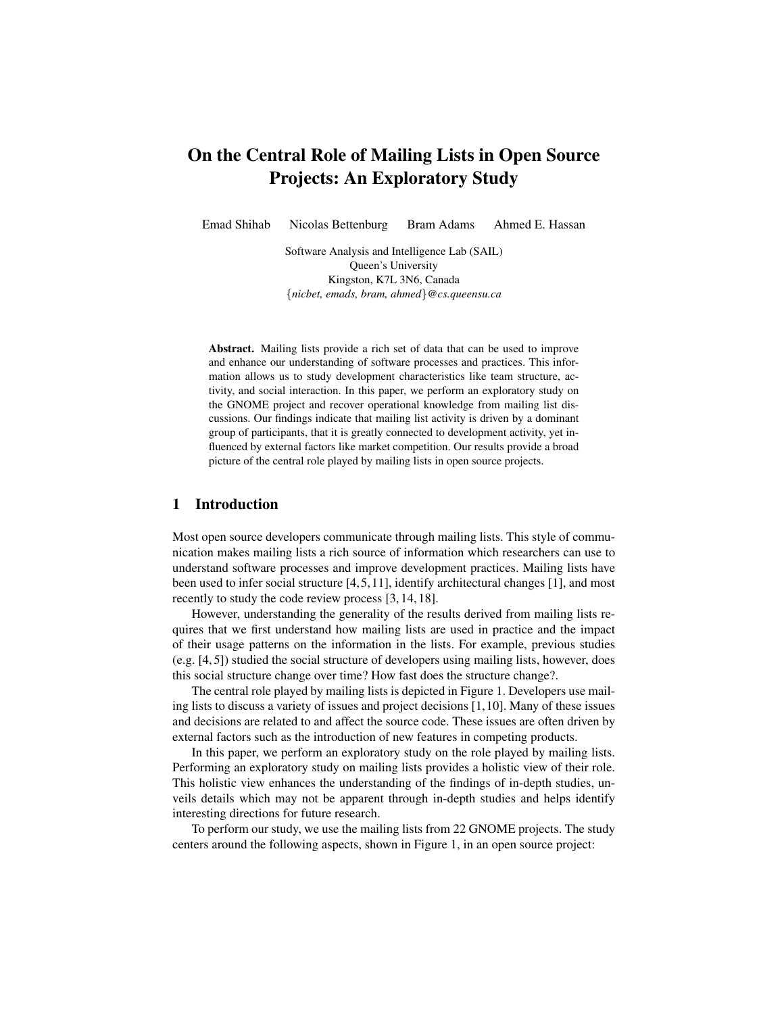# On the Central Role of Mailing Lists in Open Source Projects: An Exploratory Study

Emad Shihab Nicolas Bettenburg Bram Adams Ahmed E. Hassan

Software Analysis and Intelligence Lab (SAIL) Queen's University Kingston, K7L 3N6, Canada {*nicbet, emads, bram, ahmed*}*@cs.queensu.ca*

Abstract. Mailing lists provide a rich set of data that can be used to improve and enhance our understanding of software processes and practices. This information allows us to study development characteristics like team structure, activity, and social interaction. In this paper, we perform an exploratory study on the GNOME project and recover operational knowledge from mailing list discussions. Our findings indicate that mailing list activity is driven by a dominant group of participants, that it is greatly connected to development activity, yet influenced by external factors like market competition. Our results provide a broad picture of the central role played by mailing lists in open source projects.

## 1 Introduction

Most open source developers communicate through mailing lists. This style of communication makes mailing lists a rich source of information which researchers can use to understand software processes and improve development practices. Mailing lists have been used to infer social structure [4,5,11], identify architectural changes [1], and most recently to study the code review process [3, 14, 18].

However, understanding the generality of the results derived from mailing lists requires that we first understand how mailing lists are used in practice and the impact of their usage patterns on the information in the lists. For example, previous studies (e.g. [4, 5]) studied the social structure of developers using mailing lists, however, does this social structure change over time? How fast does the structure change?.

The central role played by mailing lists is depicted in Figure 1. Developers use mailing lists to discuss a variety of issues and project decisions [1,10]. Many of these issues and decisions are related to and affect the source code. These issues are often driven by external factors such as the introduction of new features in competing products.

In this paper, we perform an exploratory study on the role played by mailing lists. Performing an exploratory study on mailing lists provides a holistic view of their role. This holistic view enhances the understanding of the findings of in-depth studies, unveils details which may not be apparent through in-depth studies and helps identify interesting directions for future research.

To perform our study, we use the mailing lists from 22 GNOME projects. The study centers around the following aspects, shown in Figure 1, in an open source project: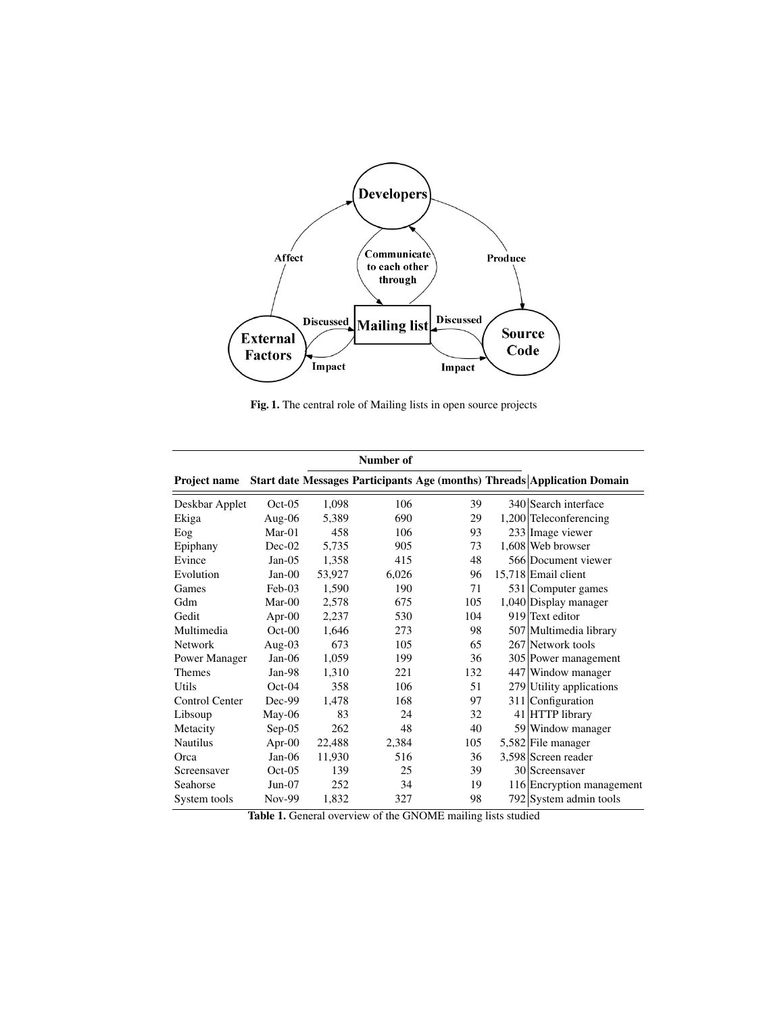

Fig. 1. The central role of Mailing lists in open source projects

| <b>Project name</b> |           |        |       |     |  | Start date Messages Participants Age (months) Threads Application Domain |
|---------------------|-----------|--------|-------|-----|--|--------------------------------------------------------------------------|
| Deskbar Applet      | $Oct-05$  | 1,098  | 106   | 39  |  | 340 Search interface                                                     |
| Ekiga               | Aug- $06$ | 5,389  | 690   | 29  |  | 1,200 Teleconferencing                                                   |
| Eog                 | $Mar-01$  | 458    | 106   | 93  |  | 233 Image viewer                                                         |
| Epiphany            | $Dec-02$  | 5,735  | 905   | 73  |  | 1,608 Web browser                                                        |
| Evince              | $Jan-05$  | 1,358  | 415   | 48  |  | 566 Document viewer                                                      |
| Evolution           | $Jan-00$  | 53,927 | 6,026 | 96  |  | 15,718 Email client                                                      |
| Games               | Feb-03    | 1,590  | 190   | 71  |  | 531 Computer games                                                       |
| Gdm                 | $Mar-00$  | 2,578  | 675   | 105 |  | $1,040$ Display manager                                                  |
| Gedit               | Apr- $00$ | 2,237  | 530   | 104 |  | 919 Text editor                                                          |
| Multimedia          | $Oct-00$  | 1.646  | 273   | 98  |  | 507 Multimedia library                                                   |
| <b>Network</b>      | Aug-03    | 673    | 105   | 65  |  | 267 Network tools                                                        |
| Power Manager       | $Jan-06$  | 1,059  | 199   | 36  |  | 305 Power management                                                     |
| <b>Themes</b>       | $Jan-98$  | 1,310  | 221   | 132 |  | 447 Window manager                                                       |
| Utils               | $Oct-04$  | 358    | 106   | 51  |  | 279 Utility applications                                                 |
| Control Center      | $Dec-99$  | 1,478  | 168   | 97  |  | 311 Configuration                                                        |
| Libsoup             | $May-06$  | 83     | 24    | 32  |  | 41 HTTP library                                                          |
| Metacity            | $Sep-05$  | 262    | 48    | 40  |  | 59 Window manager                                                        |
| <b>Nautilus</b>     | Apr- $00$ | 22,488 | 2,384 | 105 |  | 5,582 File manager                                                       |
| Orca                | $Jan-06$  | 11,930 | 516   | 36  |  | 3,598 Screen reader                                                      |
| Screensaver         | $Oct-0.5$ | 139    | 25    | 39  |  | 30 Screensaver                                                           |
| Seahorse            | $Jun-07$  | 252    | 34    | 19  |  | 116 Encryption management                                                |
| System tools        | Nov-99    | 1,832  | 327   | 98  |  | 792 System admin tools                                                   |

Table 1. General overview of the GNOME mailing lists studied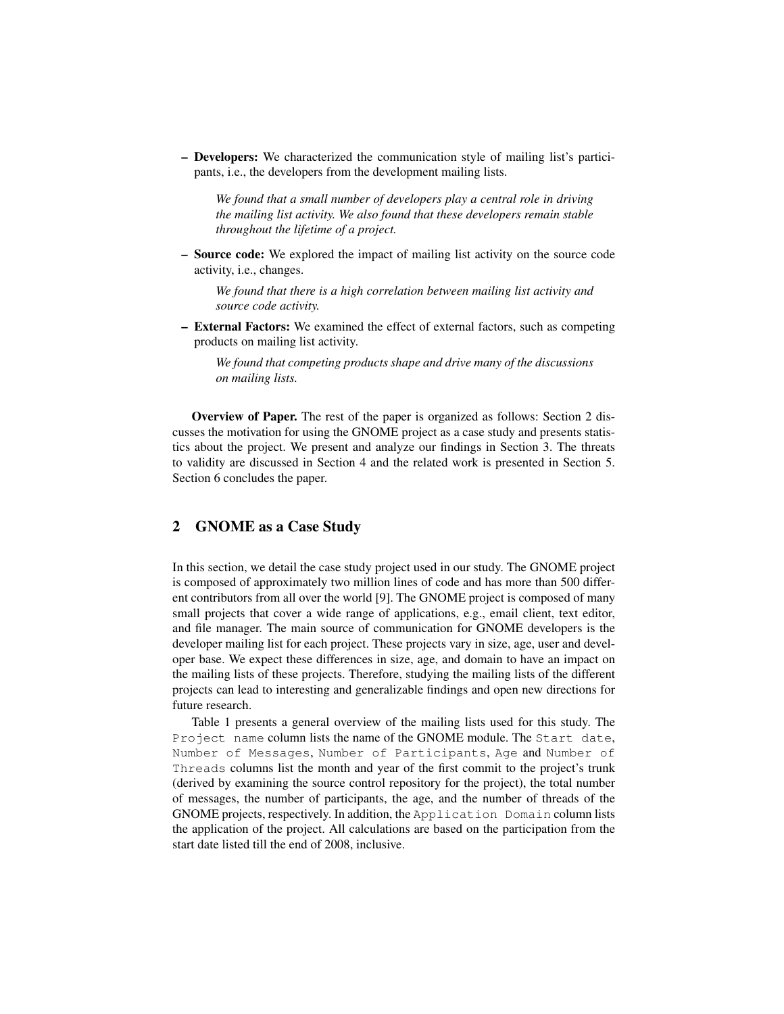– Developers: We characterized the communication style of mailing list's participants, i.e., the developers from the development mailing lists.

*We found that a small number of developers play a central role in driving the mailing list activity. We also found that these developers remain stable throughout the lifetime of a project.*

– Source code: We explored the impact of mailing list activity on the source code activity, i.e., changes.

*We found that there is a high correlation between mailing list activity and source code activity.*

– External Factors: We examined the effect of external factors, such as competing products on mailing list activity.

*We found that competing products shape and drive many of the discussions on mailing lists.*

Overview of Paper. The rest of the paper is organized as follows: Section 2 discusses the motivation for using the GNOME project as a case study and presents statistics about the project. We present and analyze our findings in Section 3. The threats to validity are discussed in Section 4 and the related work is presented in Section 5. Section 6 concludes the paper.

## 2 GNOME as a Case Study

In this section, we detail the case study project used in our study. The GNOME project is composed of approximately two million lines of code and has more than 500 different contributors from all over the world [9]. The GNOME project is composed of many small projects that cover a wide range of applications, e.g., email client, text editor, and file manager. The main source of communication for GNOME developers is the developer mailing list for each project. These projects vary in size, age, user and developer base. We expect these differences in size, age, and domain to have an impact on the mailing lists of these projects. Therefore, studying the mailing lists of the different projects can lead to interesting and generalizable findings and open new directions for future research.

Table 1 presents a general overview of the mailing lists used for this study. The Project name column lists the name of the GNOME module. The Start date, Number of Messages, Number of Participants, Age and Number of Threads columns list the month and year of the first commit to the project's trunk (derived by examining the source control repository for the project), the total number of messages, the number of participants, the age, and the number of threads of the GNOME projects, respectively. In addition, the Application Domain column lists the application of the project. All calculations are based on the participation from the start date listed till the end of 2008, inclusive.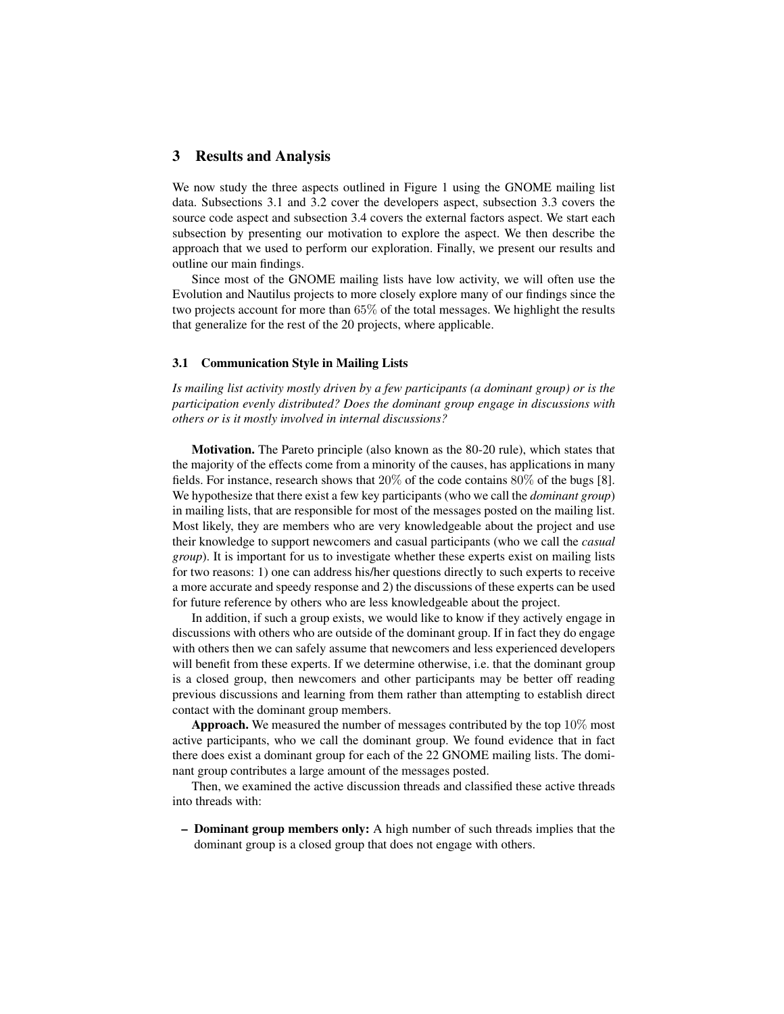## 3 Results and Analysis

We now study the three aspects outlined in Figure 1 using the GNOME mailing list data. Subsections 3.1 and 3.2 cover the developers aspect, subsection 3.3 covers the source code aspect and subsection 3.4 covers the external factors aspect. We start each subsection by presenting our motivation to explore the aspect. We then describe the approach that we used to perform our exploration. Finally, we present our results and outline our main findings.

Since most of the GNOME mailing lists have low activity, we will often use the Evolution and Nautilus projects to more closely explore many of our findings since the two projects account for more than 65% of the total messages. We highlight the results that generalize for the rest of the 20 projects, where applicable.

#### 3.1 Communication Style in Mailing Lists

*Is mailing list activity mostly driven by a few participants (a dominant group) or is the participation evenly distributed? Does the dominant group engage in discussions with others or is it mostly involved in internal discussions?*

Motivation. The Pareto principle (also known as the 80-20 rule), which states that the majority of the effects come from a minority of the causes, has applications in many fields. For instance, research shows that  $20\%$  of the code contains  $80\%$  of the bugs [8]. We hypothesize that there exist a few key participants (who we call the *dominant group*) in mailing lists, that are responsible for most of the messages posted on the mailing list. Most likely, they are members who are very knowledgeable about the project and use their knowledge to support newcomers and casual participants (who we call the *casual group*). It is important for us to investigate whether these experts exist on mailing lists for two reasons: 1) one can address his/her questions directly to such experts to receive a more accurate and speedy response and 2) the discussions of these experts can be used for future reference by others who are less knowledgeable about the project.

In addition, if such a group exists, we would like to know if they actively engage in discussions with others who are outside of the dominant group. If in fact they do engage with others then we can safely assume that newcomers and less experienced developers will benefit from these experts. If we determine otherwise, i.e. that the dominant group is a closed group, then newcomers and other participants may be better off reading previous discussions and learning from them rather than attempting to establish direct contact with the dominant group members.

**Approach.** We measured the number of messages contributed by the top  $10\%$  most active participants, who we call the dominant group. We found evidence that in fact there does exist a dominant group for each of the 22 GNOME mailing lists. The dominant group contributes a large amount of the messages posted.

Then, we examined the active discussion threads and classified these active threads into threads with:

– Dominant group members only: A high number of such threads implies that the dominant group is a closed group that does not engage with others.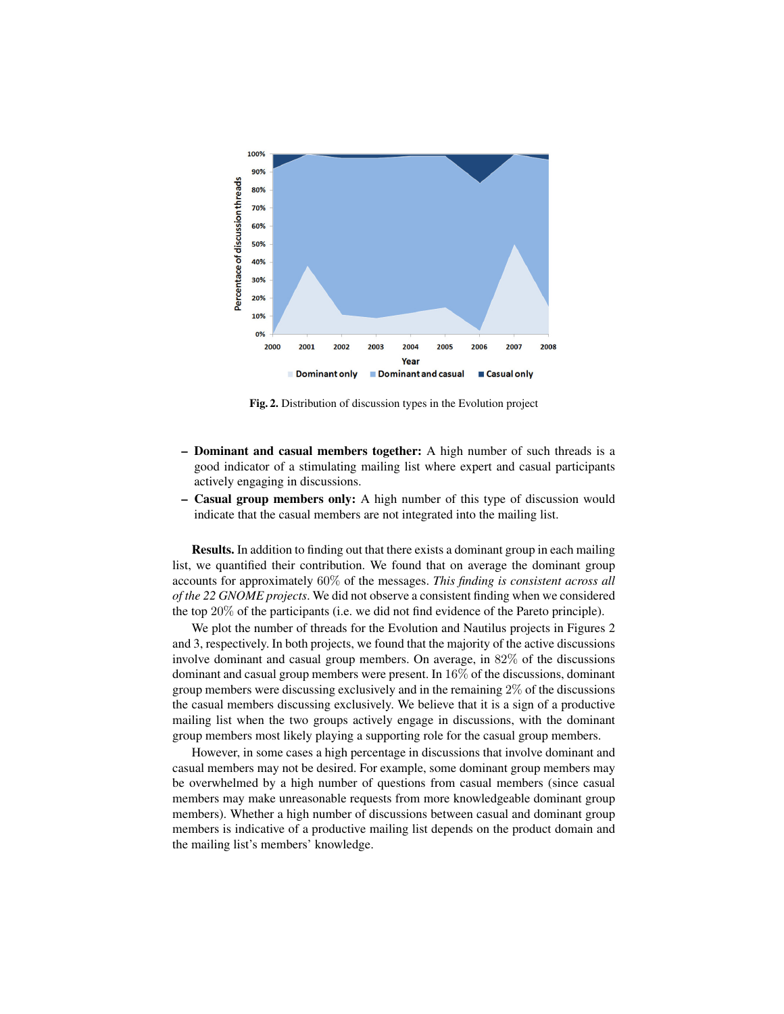

Fig. 2. Distribution of discussion types in the Evolution project

- Dominant and casual members together: A high number of such threads is a good indicator of a stimulating mailing list where expert and casual participants actively engaging in discussions.
- Casual group members only: A high number of this type of discussion would indicate that the casual members are not integrated into the mailing list.

Results. In addition to finding out that there exists a dominant group in each mailing list, we quantified their contribution. We found that on average the dominant group accounts for approximately 60% of the messages. *This finding is consistent across all of the 22 GNOME projects*. We did not observe a consistent finding when we considered the top 20% of the participants (i.e. we did not find evidence of the Pareto principle).

We plot the number of threads for the Evolution and Nautilus projects in Figures 2 and 3, respectively. In both projects, we found that the majority of the active discussions involve dominant and casual group members. On average, in 82% of the discussions dominant and casual group members were present. In 16% of the discussions, dominant group members were discussing exclusively and in the remaining 2% of the discussions the casual members discussing exclusively. We believe that it is a sign of a productive mailing list when the two groups actively engage in discussions, with the dominant group members most likely playing a supporting role for the casual group members.

However, in some cases a high percentage in discussions that involve dominant and casual members may not be desired. For example, some dominant group members may be overwhelmed by a high number of questions from casual members (since casual members may make unreasonable requests from more knowledgeable dominant group members). Whether a high number of discussions between casual and dominant group members is indicative of a productive mailing list depends on the product domain and the mailing list's members' knowledge.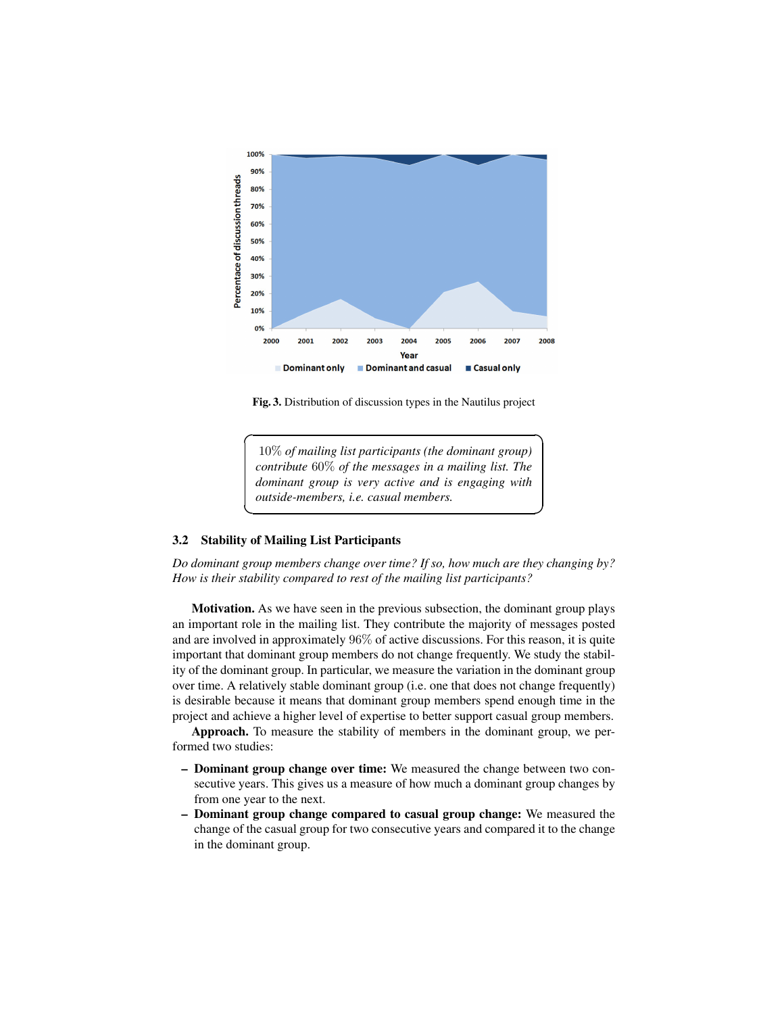

Fig. 3. Distribution of discussion types in the Nautilus project

10% *of mailing list participants (the dominant group) contribute* 60% *of the messages in a mailing list. The dominant group is very active and is engaging with outside-members, i.e. casual members.*

✟

✠

## 3.2 Stability of Mailing List Participants

☛

 $\overline{\phantom{0}}$ 

*Do dominant group members change over time? If so, how much are they changing by? How is their stability compared to rest of the mailing list participants?*

Motivation. As we have seen in the previous subsection, the dominant group plays an important role in the mailing list. They contribute the majority of messages posted and are involved in approximately 96% of active discussions. For this reason, it is quite important that dominant group members do not change frequently. We study the stability of the dominant group. In particular, we measure the variation in the dominant group over time. A relatively stable dominant group (i.e. one that does not change frequently) is desirable because it means that dominant group members spend enough time in the project and achieve a higher level of expertise to better support casual group members.

Approach. To measure the stability of members in the dominant group, we performed two studies:

- Dominant group change over time: We measured the change between two consecutive years. This gives us a measure of how much a dominant group changes by from one year to the next.
- Dominant group change compared to casual group change: We measured the change of the casual group for two consecutive years and compared it to the change in the dominant group.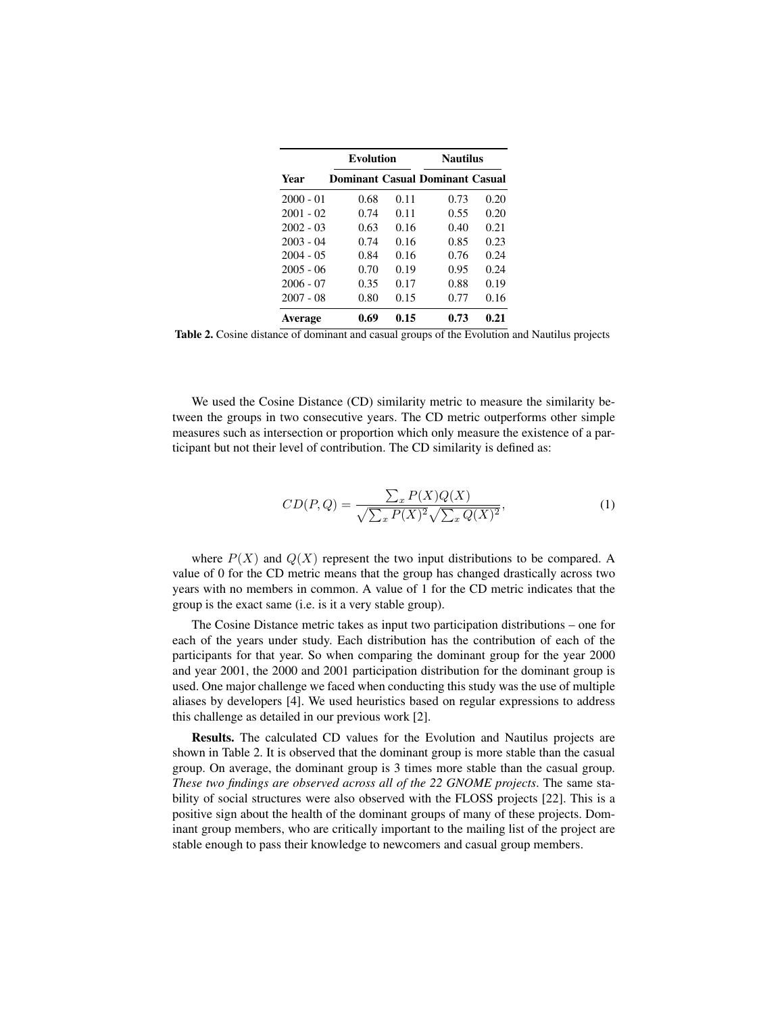|             | <b>Evolution</b> |      | <b>Nautilus</b>                        |      |  |
|-------------|------------------|------|----------------------------------------|------|--|
| <b>Year</b> |                  |      | <b>Dominant Casual Dominant Casual</b> |      |  |
| $2000 - 01$ | 0.68             | 0.11 | 0.73                                   | 0.20 |  |
| $2001 - 02$ | 0.74             | 0.11 | 0.55                                   | 0.20 |  |
| $2002 - 03$ | 0.63             | 0.16 | 0.40                                   | 0.21 |  |
| $2003 - 04$ | 0.74             | 0.16 | 0.85                                   | 0.23 |  |
| $2004 - 05$ | 0.84             | 0.16 | 0.76                                   | 0.24 |  |
| $2005 - 06$ | 0.70             | 0.19 | 0.95                                   | 0.24 |  |
| $2006 - 07$ | 0.35             | 0.17 | 0.88                                   | 0.19 |  |
| $2007 - 08$ | 0.80             | 0.15 | 0.77                                   | 0.16 |  |
| Average     | 0.69             | 0.15 | 0.73                                   | 0.21 |  |

Table 2. Cosine distance of dominant and casual groups of the Evolution and Nautilus projects

We used the Cosine Distance (CD) similarity metric to measure the similarity between the groups in two consecutive years. The CD metric outperforms other simple measures such as intersection or proportion which only measure the existence of a participant but not their level of contribution. The CD similarity is defined as:

$$
CD(P,Q) = \frac{\sum_{x} P(X)Q(X)}{\sqrt{\sum_{x} P(X)^2} \sqrt{\sum_{x} Q(X)^2}},
$$
\n(1)

where  $P(X)$  and  $Q(X)$  represent the two input distributions to be compared. A value of 0 for the CD metric means that the group has changed drastically across two years with no members in common. A value of 1 for the CD metric indicates that the group is the exact same (i.e. is it a very stable group).

The Cosine Distance metric takes as input two participation distributions – one for each of the years under study. Each distribution has the contribution of each of the participants for that year. So when comparing the dominant group for the year 2000 and year 2001, the 2000 and 2001 participation distribution for the dominant group is used. One major challenge we faced when conducting this study was the use of multiple aliases by developers [4]. We used heuristics based on regular expressions to address this challenge as detailed in our previous work [2].

Results. The calculated CD values for the Evolution and Nautilus projects are shown in Table 2. It is observed that the dominant group is more stable than the casual group. On average, the dominant group is 3 times more stable than the casual group. *These two findings are observed across all of the 22 GNOME projects*. The same stability of social structures were also observed with the FLOSS projects [22]. This is a positive sign about the health of the dominant groups of many of these projects. Dominant group members, who are critically important to the mailing list of the project are stable enough to pass their knowledge to newcomers and casual group members.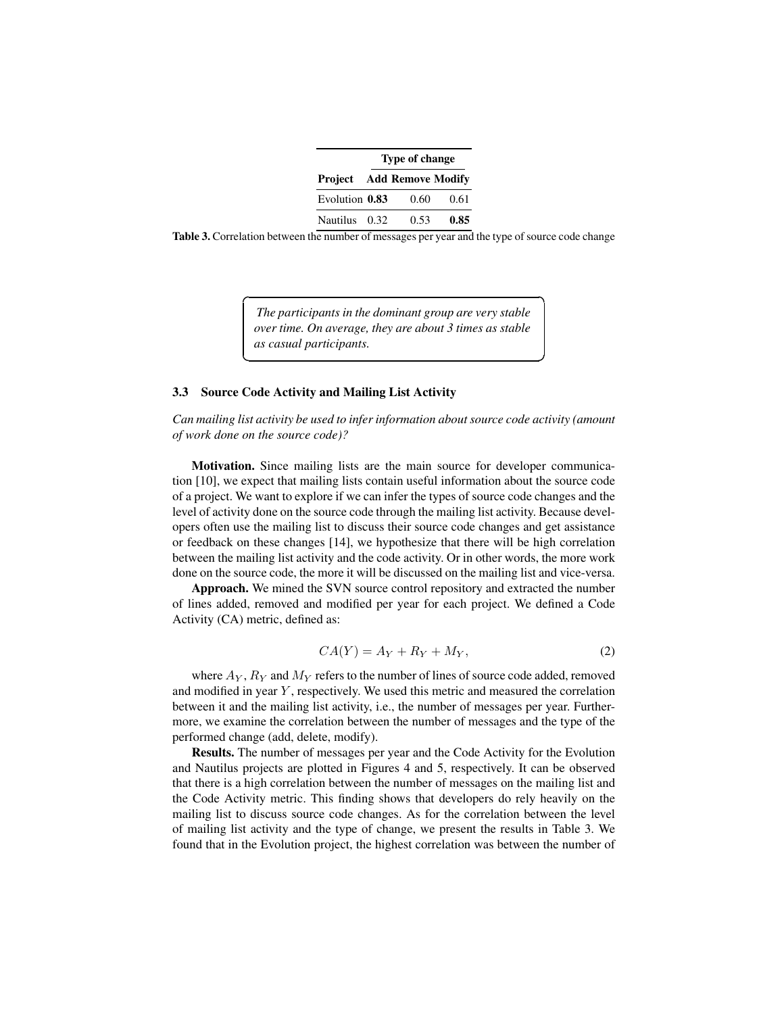|                                  | <b>Type of change</b> |                |      |  |
|----------------------------------|-----------------------|----------------|------|--|
| <b>Project</b> Add Remove Modify |                       |                |      |  |
| Evolution 0.83                   |                       | $0.60^{\circ}$ | 0.61 |  |
| Nautilus 0.32                    |                       | 0.53           | 0.85 |  |

Table 3. Correlation between the number of messages per year and the type of source code change

*The participants in the dominant group are very stable over time. On average, they are about 3 times as stable as casual participants.*

#### 3.3 Source Code Activity and Mailing List Activity

 $\overline{a}$ 

✝

*Can mailing list activity be used to infer information about source code activity (amount of work done on the source code)?*

Motivation. Since mailing lists are the main source for developer communication [10], we expect that mailing lists contain useful information about the source code of a project. We want to explore if we can infer the types of source code changes and the level of activity done on the source code through the mailing list activity. Because developers often use the mailing list to discuss their source code changes and get assistance or feedback on these changes [14], we hypothesize that there will be high correlation between the mailing list activity and the code activity. Or in other words, the more work done on the source code, the more it will be discussed on the mailing list and vice-versa.

Approach. We mined the SVN source control repository and extracted the number of lines added, removed and modified per year for each project. We defined a Code Activity (CA) metric, defined as:

$$
CA(Y) = A_Y + R_Y + M_Y, \t\t(2)
$$

☎

✆

where  $A_Y$ ,  $R_Y$  and  $M_Y$  refers to the number of lines of source code added, removed and modified in year  $Y$ , respectively. We used this metric and measured the correlation between it and the mailing list activity, i.e., the number of messages per year. Furthermore, we examine the correlation between the number of messages and the type of the performed change (add, delete, modify).

Results. The number of messages per year and the Code Activity for the Evolution and Nautilus projects are plotted in Figures 4 and 5, respectively. It can be observed that there is a high correlation between the number of messages on the mailing list and the Code Activity metric. This finding shows that developers do rely heavily on the mailing list to discuss source code changes. As for the correlation between the level of mailing list activity and the type of change, we present the results in Table 3. We found that in the Evolution project, the highest correlation was between the number of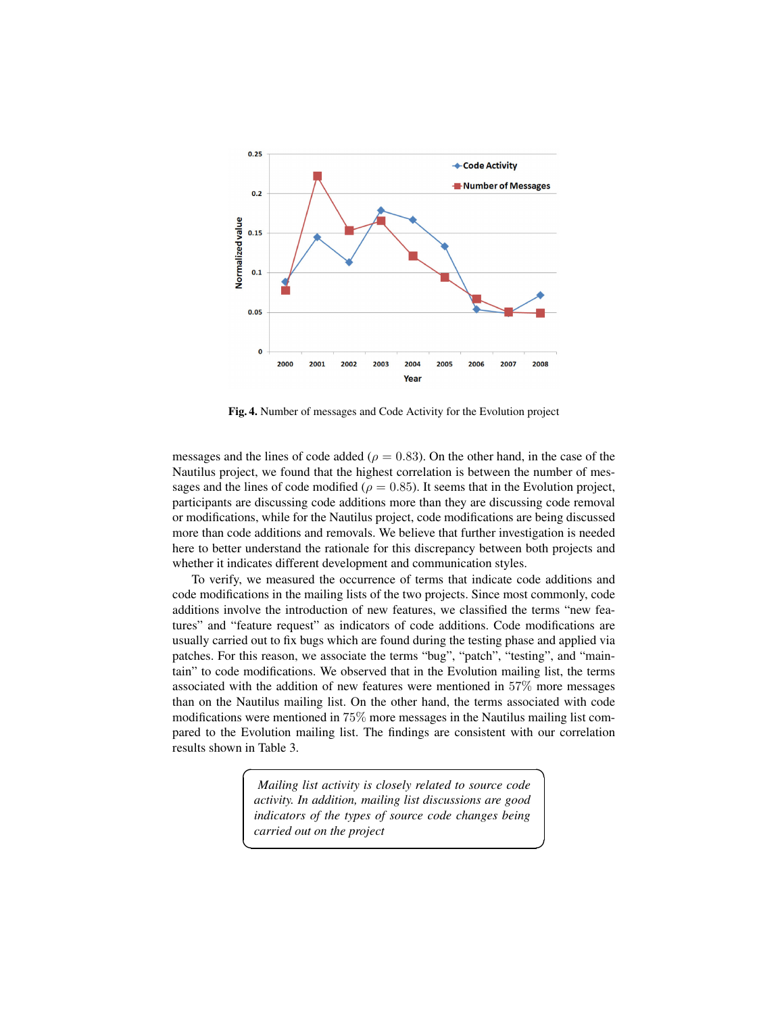

Fig. 4. Number of messages and Code Activity for the Evolution project

messages and the lines of code added ( $\rho = 0.83$ ). On the other hand, in the case of the Nautilus project, we found that the highest correlation is between the number of messages and the lines of code modified ( $\rho = 0.85$ ). It seems that in the Evolution project, participants are discussing code additions more than they are discussing code removal or modifications, while for the Nautilus project, code modifications are being discussed more than code additions and removals. We believe that further investigation is needed here to better understand the rationale for this discrepancy between both projects and whether it indicates different development and communication styles.

To verify, we measured the occurrence of terms that indicate code additions and code modifications in the mailing lists of the two projects. Since most commonly, code additions involve the introduction of new features, we classified the terms "new features" and "feature request" as indicators of code additions. Code modifications are usually carried out to fix bugs which are found during the testing phase and applied via patches. For this reason, we associate the terms "bug", "patch", "testing", and "maintain" to code modifications. We observed that in the Evolution mailing list, the terms associated with the addition of new features were mentioned in 57% more messages than on the Nautilus mailing list. On the other hand, the terms associated with code modifications were mentioned in 75% more messages in the Nautilus mailing list compared to the Evolution mailing list. The findings are consistent with our correlation results shown in Table 3.

> *Mailing list activity is closely related to source code activity. In addition, mailing list discussions are good indicators of the types of source code changes being carried out on the project*

☛

 $\searrow$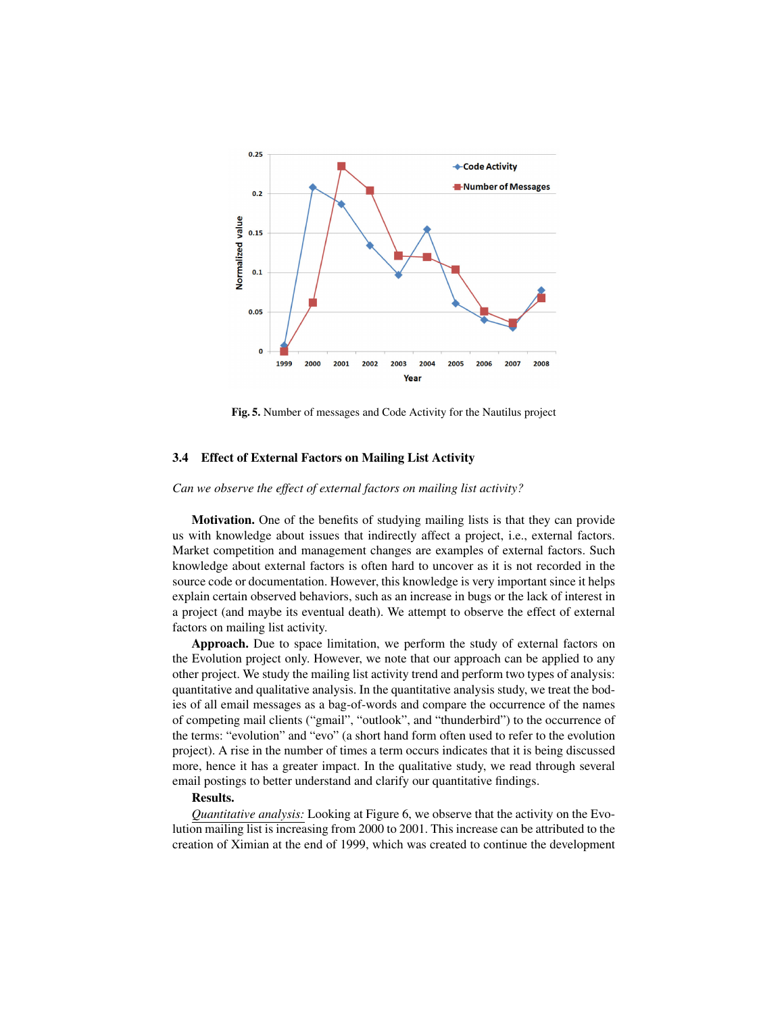

Fig. 5. Number of messages and Code Activity for the Nautilus project

#### 3.4 Effect of External Factors on Mailing List Activity

*Can we observe the effect of external factors on mailing list activity?*

Motivation. One of the benefits of studying mailing lists is that they can provide us with knowledge about issues that indirectly affect a project, i.e., external factors. Market competition and management changes are examples of external factors. Such knowledge about external factors is often hard to uncover as it is not recorded in the source code or documentation. However, this knowledge is very important since it helps explain certain observed behaviors, such as an increase in bugs or the lack of interest in a project (and maybe its eventual death). We attempt to observe the effect of external factors on mailing list activity.

Approach. Due to space limitation, we perform the study of external factors on the Evolution project only. However, we note that our approach can be applied to any other project. We study the mailing list activity trend and perform two types of analysis: quantitative and qualitative analysis. In the quantitative analysis study, we treat the bodies of all email messages as a bag-of-words and compare the occurrence of the names of competing mail clients ("gmail", "outlook", and "thunderbird") to the occurrence of the terms: "evolution" and "evo" (a short hand form often used to refer to the evolution project). A rise in the number of times a term occurs indicates that it is being discussed more, hence it has a greater impact. In the qualitative study, we read through several email postings to better understand and clarify our quantitative findings.

#### Results.

*Quantitative analysis:* Looking at Figure 6, we observe that the activity on the Evolution mailing list is increasing from 2000 to 2001. This increase can be attributed to the creation of Ximian at the end of 1999, which was created to continue the development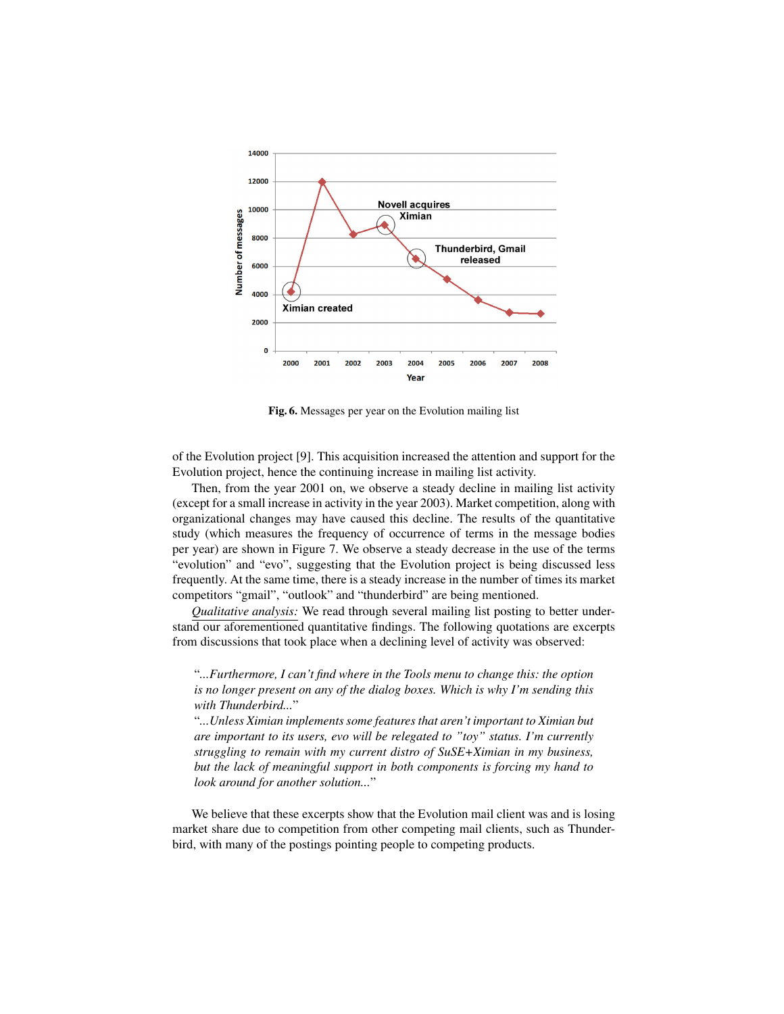

Fig. 6. Messages per year on the Evolution mailing list

of the Evolution project [9]. This acquisition increased the attention and support for the Evolution project, hence the continuing increase in mailing list activity.

Then, from the year 2001 on, we observe a steady decline in mailing list activity (except for a small increase in activity in the year 2003). Market competition, along with organizational changes may have caused this decline. The results of the quantitative study (which measures the frequency of occurrence of terms in the message bodies per year) are shown in Figure 7. We observe a steady decrease in the use of the terms "evolution" and "evo", suggesting that the Evolution project is being discussed less frequently. At the same time, there is a steady increase in the number of times its market competitors "gmail", "outlook" and "thunderbird" are being mentioned.

*Qualitative analysis:* We read through several mailing list posting to better understand our aforementioned quantitative findings. The following quotations are excerpts from discussions that took place when a declining level of activity was observed:

"*...Furthermore, I can't find where in the Tools menu to change this: the option is no longer present on any of the dialog boxes. Which is why I'm sending this with Thunderbird...*"

"*...Unless Ximian implements some features that aren't important to Ximian but are important to its users, evo will be relegated to "toy" status. I'm currently struggling to remain with my current distro of SuSE+Ximian in my business, but the lack of meaningful support in both components is forcing my hand to look around for another solution...*"

We believe that these excerpts show that the Evolution mail client was and is losing market share due to competition from other competing mail clients, such as Thunderbird, with many of the postings pointing people to competing products.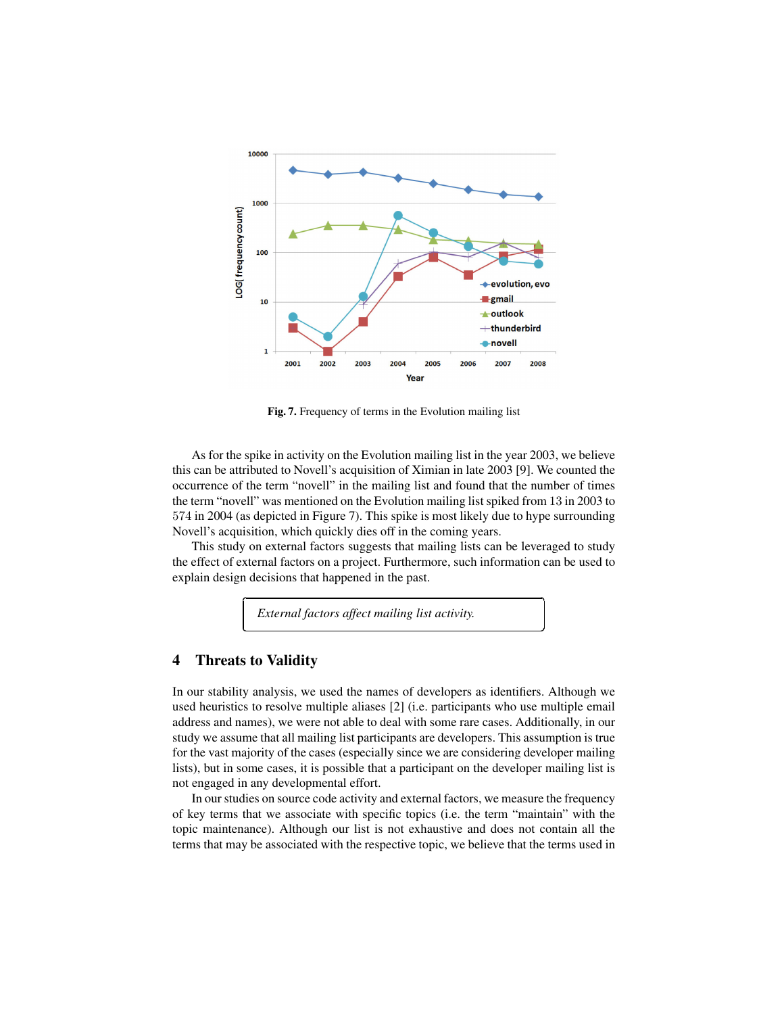

Fig. 7. Frequency of terms in the Evolution mailing list

As for the spike in activity on the Evolution mailing list in the year 2003, we believe this can be attributed to Novell's acquisition of Ximian in late 2003 [9]. We counted the occurrence of the term "novell" in the mailing list and found that the number of times the term "novell" was mentioned on the Evolution mailing list spiked from 13 in 2003 to 574 in 2004 (as depicted in Figure 7). This spike is most likely due to hype surrounding Novell's acquisition, which quickly dies off in the coming years.

This study on external factors suggests that mailing lists can be leveraged to study the effect of external factors on a project. Furthermore, such information can be used to explain design decisions that happened in the past.

ĺ.

 $\overline{a}$ 

*External factors affect mailing list activity.*

## 4 Threats to Validity

✄

 $\overline{a}$ 

In our stability analysis, we used the names of developers as identifiers. Although we used heuristics to resolve multiple aliases [2] (i.e. participants who use multiple email address and names), we were not able to deal with some rare cases. Additionally, in our study we assume that all mailing list participants are developers. This assumption is true for the vast majority of the cases (especially since we are considering developer mailing lists), but in some cases, it is possible that a participant on the developer mailing list is not engaged in any developmental effort.

In our studies on source code activity and external factors, we measure the frequency of key terms that we associate with specific topics (i.e. the term "maintain" with the topic maintenance). Although our list is not exhaustive and does not contain all the terms that may be associated with the respective topic, we believe that the terms used in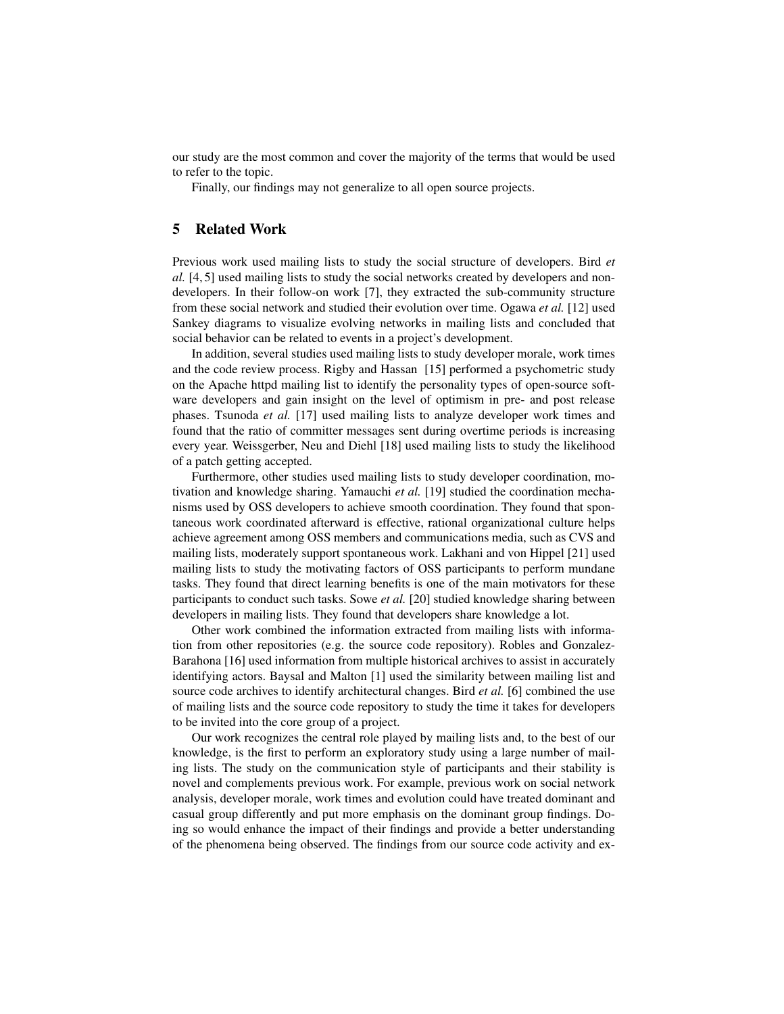our study are the most common and cover the majority of the terms that would be used to refer to the topic.

Finally, our findings may not generalize to all open source projects.

## 5 Related Work

Previous work used mailing lists to study the social structure of developers. Bird *et al.* [4, 5] used mailing lists to study the social networks created by developers and nondevelopers. In their follow-on work [7], they extracted the sub-community structure from these social network and studied their evolution over time. Ogawa *et al.* [12] used Sankey diagrams to visualize evolving networks in mailing lists and concluded that social behavior can be related to events in a project's development.

In addition, several studies used mailing lists to study developer morale, work times and the code review process. Rigby and Hassan [15] performed a psychometric study on the Apache httpd mailing list to identify the personality types of open-source software developers and gain insight on the level of optimism in pre- and post release phases. Tsunoda *et al.* [17] used mailing lists to analyze developer work times and found that the ratio of committer messages sent during overtime periods is increasing every year. Weissgerber, Neu and Diehl [18] used mailing lists to study the likelihood of a patch getting accepted.

Furthermore, other studies used mailing lists to study developer coordination, motivation and knowledge sharing. Yamauchi *et al.* [19] studied the coordination mechanisms used by OSS developers to achieve smooth coordination. They found that spontaneous work coordinated afterward is effective, rational organizational culture helps achieve agreement among OSS members and communications media, such as CVS and mailing lists, moderately support spontaneous work. Lakhani and von Hippel [21] used mailing lists to study the motivating factors of OSS participants to perform mundane tasks. They found that direct learning benefits is one of the main motivators for these participants to conduct such tasks. Sowe *et al.* [20] studied knowledge sharing between developers in mailing lists. They found that developers share knowledge a lot.

Other work combined the information extracted from mailing lists with information from other repositories (e.g. the source code repository). Robles and Gonzalez-Barahona [16] used information from multiple historical archives to assist in accurately identifying actors. Baysal and Malton [1] used the similarity between mailing list and source code archives to identify architectural changes. Bird *et al.* [6] combined the use of mailing lists and the source code repository to study the time it takes for developers to be invited into the core group of a project.

Our work recognizes the central role played by mailing lists and, to the best of our knowledge, is the first to perform an exploratory study using a large number of mailing lists. The study on the communication style of participants and their stability is novel and complements previous work. For example, previous work on social network analysis, developer morale, work times and evolution could have treated dominant and casual group differently and put more emphasis on the dominant group findings. Doing so would enhance the impact of their findings and provide a better understanding of the phenomena being observed. The findings from our source code activity and ex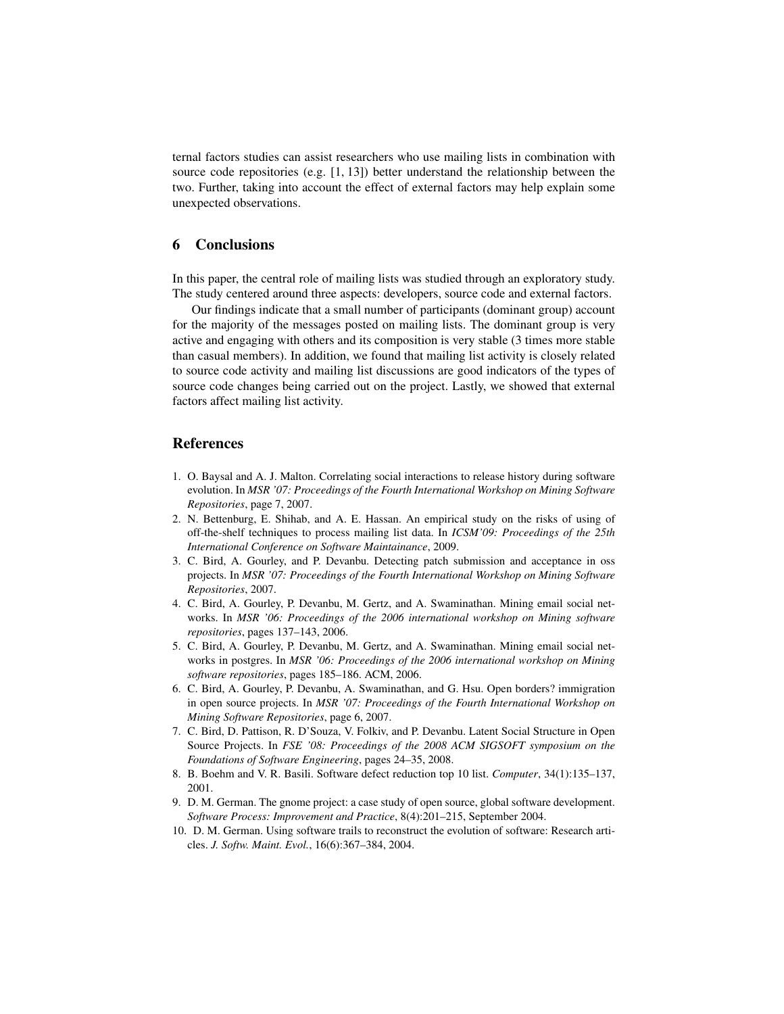ternal factors studies can assist researchers who use mailing lists in combination with source code repositories (e.g.  $[1, 13]$ ) better understand the relationship between the two. Further, taking into account the effect of external factors may help explain some unexpected observations.

## 6 Conclusions

In this paper, the central role of mailing lists was studied through an exploratory study. The study centered around three aspects: developers, source code and external factors.

Our findings indicate that a small number of participants (dominant group) account for the majority of the messages posted on mailing lists. The dominant group is very active and engaging with others and its composition is very stable (3 times more stable than casual members). In addition, we found that mailing list activity is closely related to source code activity and mailing list discussions are good indicators of the types of source code changes being carried out on the project. Lastly, we showed that external factors affect mailing list activity.

## References

- 1. O. Baysal and A. J. Malton. Correlating social interactions to release history during software evolution. In *MSR '07: Proceedings of the Fourth International Workshop on Mining Software Repositories*, page 7, 2007.
- 2. N. Bettenburg, E. Shihab, and A. E. Hassan. An empirical study on the risks of using of off-the-shelf techniques to process mailing list data. In *ICSM'09: Proceedings of the 25th International Conference on Software Maintainance*, 2009.
- 3. C. Bird, A. Gourley, and P. Devanbu. Detecting patch submission and acceptance in oss projects. In *MSR '07: Proceedings of the Fourth International Workshop on Mining Software Repositories*, 2007.
- 4. C. Bird, A. Gourley, P. Devanbu, M. Gertz, and A. Swaminathan. Mining email social networks. In *MSR '06: Proceedings of the 2006 international workshop on Mining software repositories*, pages 137–143, 2006.
- 5. C. Bird, A. Gourley, P. Devanbu, M. Gertz, and A. Swaminathan. Mining email social networks in postgres. In *MSR '06: Proceedings of the 2006 international workshop on Mining software repositories*, pages 185–186. ACM, 2006.
- 6. C. Bird, A. Gourley, P. Devanbu, A. Swaminathan, and G. Hsu. Open borders? immigration in open source projects. In *MSR '07: Proceedings of the Fourth International Workshop on Mining Software Repositories*, page 6, 2007.
- 7. C. Bird, D. Pattison, R. D'Souza, V. Folkiv, and P. Devanbu. Latent Social Structure in Open Source Projects. In *FSE '08: Proceedings of the 2008 ACM SIGSOFT symposium on the Foundations of Software Engineering*, pages 24–35, 2008.
- 8. B. Boehm and V. R. Basili. Software defect reduction top 10 list. *Computer*, 34(1):135–137, 2001.
- 9. D. M. German. The gnome project: a case study of open source, global software development. *Software Process: Improvement and Practice*, 8(4):201–215, September 2004.
- 10. D. M. German. Using software trails to reconstruct the evolution of software: Research articles. *J. Softw. Maint. Evol.*, 16(6):367–384, 2004.